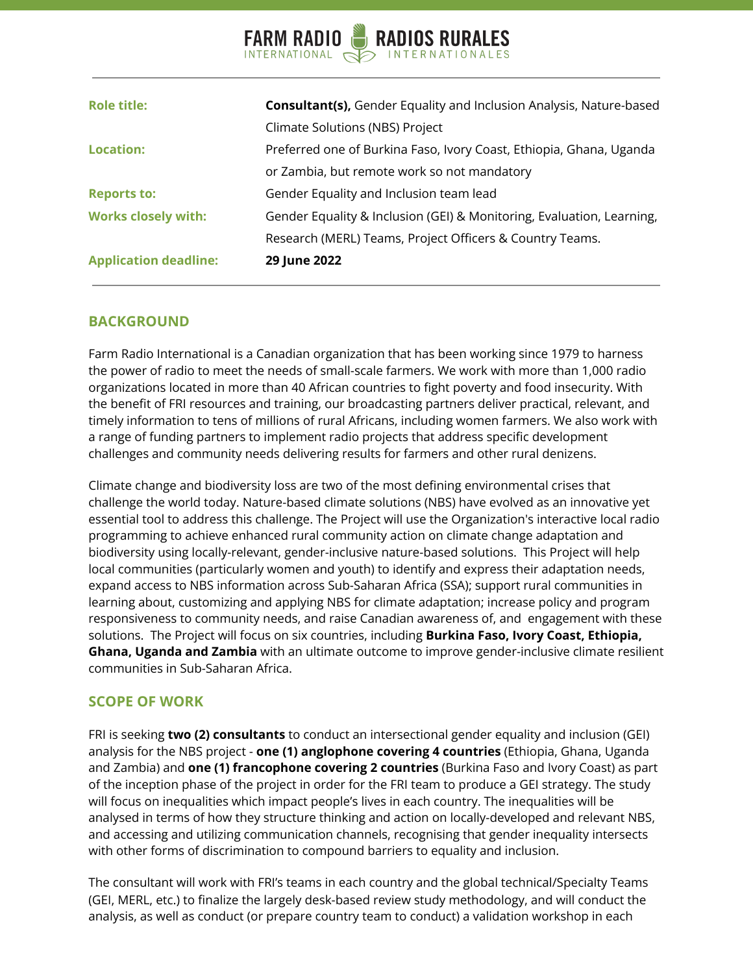#### RADIOS RURALES **FARM RADIO** INTERNATIONAL G

| <b>Application deadline:</b> | 29 June 2022                                                               |  |  |
|------------------------------|----------------------------------------------------------------------------|--|--|
|                              | Research (MERL) Teams, Project Officers & Country Teams.                   |  |  |
| <b>Works closely with:</b>   | Gender Equality & Inclusion (GEI) & Monitoring, Evaluation, Learning,      |  |  |
| <b>Reports to:</b>           | Gender Equality and Inclusion team lead                                    |  |  |
|                              | or Zambia, but remote work so not mandatory                                |  |  |
| <b>Location:</b>             | Preferred one of Burkina Faso, Ivory Coast, Ethiopia, Ghana, Uganda        |  |  |
|                              | Climate Solutions (NBS) Project                                            |  |  |
| <b>Role title:</b>           | <b>Consultant(s), Gender Equality and Inclusion Analysis, Nature-based</b> |  |  |
|                              |                                                                            |  |  |

### **BACKGROUND**

Farm Radio International is a Canadian organization that has been working since 1979 to harness the power of radio to meet the needs of small-scale farmers. We work with more than 1,000 radio organizations located in more than 40 African countries to fight poverty and food insecurity. With the benefit of FRI resources and training, our broadcasting partners deliver practical, relevant, and timely information to tens of millions of rural Africans, including women farmers. We also work with a range of funding partners to implement radio projects that address specific development challenges and community needs delivering results for farmers and other rural denizens.

Climate change and biodiversity loss are two of the most defining environmental crises that challenge the world today. Nature-based climate solutions (NBS) have evolved as an innovative yet essential tool to address this challenge. The Project will use the Organization's interactive local radio programming to achieve enhanced rural community action on climate change adaptation and biodiversity using locally-relevant, gender-inclusive nature-based solutions. This Project will help local communities (particularly women and youth) to identify and express their adaptation needs, expand access to NBS information across Sub-Saharan Africa (SSA); support rural communities in learning about, customizing and applying NBS for climate adaptation; increase policy and program responsiveness to community needs, and raise Canadian awareness of, and engagement with these solutions. The Project will focus on six countries, including **Burkina Faso, Ivory Coast, Ethiopia, Ghana, Uganda and Zambia** with an ultimate outcome to improve gender-inclusive climate resilient communities in Sub-Saharan Africa.

## **SCOPE OF WORK**

FRI is seeking **two (2) consultants** to conduct an intersectional gender equality and inclusion (GEI) analysis for the NBS project - **one (1) anglophone covering 4 countries** (Ethiopia, Ghana, Uganda and Zambia) and **one (1) francophone covering 2 countries** (Burkina Faso and Ivory Coast) as part of the inception phase of the project in order for the FRI team to produce a GEI strategy. The study will focus on inequalities which impact people's lives in each country. The inequalities will be analysed in terms of how they structure thinking and action on locally-developed and relevant NBS, and accessing and utilizing communication channels, recognising that gender inequality intersects with other forms of discrimination to compound barriers to equality and inclusion.

The consultant will work with FRI's teams in each country and the global technical/Specialty Teams (GEI, MERL, etc.) to finalize the largely desk-based review study methodology, and will conduct the analysis, as well as conduct (or prepare country team to conduct) a validation workshop in each